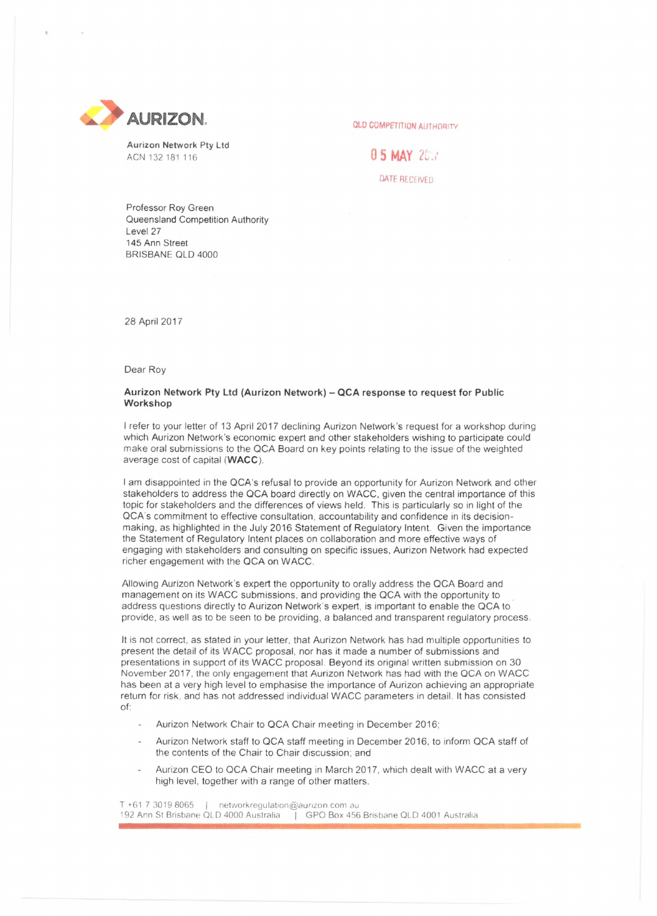

Aurizon Network Pty Ltd ACN 132 181 116 **0 5 MAY** 20.7

QATE RECEIVED

Professor Roy Green Queensland Competition Authority Level 27 145 Ann Street BRISBANE QLD 4000

28 April 2017

Dear Roy

## **Aurizon Network Pty Ltd (Aurizon Network) - QCA response to request for Public Workshop**

<sup>I</sup> refer to your letter of 13 April 2017 declining Aurizon Network's request for a workshop during which Aurizon Network's economic expert and other stakeholders wishing to participate could make oral submissions to the QCA Board on key points relating to the issue of the weighted average cost of capital **(WACC).**

<sup>I</sup> am disappointed in the QCA's refusal to provide an opportunity for Aurizon Network and other stakeholders to address the QCA board directly on WACC, given the central importance of this topic for stakeholders and the differences of views held. This is particularly so in light of the QCA's commitment to effective consultation, accountability and confidence in its decisionmaking, as highlighted in the July 2016 Statement of Regulatory Intent. Given the importance the Statement of Regulatory Intent places on collaboration and more effective ways of engaging with stakeholders and consulting on specific issues, Aurizon Network had expected richer engagement with the QCA on WACC.

Allowing Aurizon Network's expert the opportunity to orally address the QCA Board and management on its WACC submissions, and providing the QCA with the opportunity to address questions directly to Aurizon Network's expert, is important to enable the QCA to provide, as well as to be seen to be providing, a balanced and transparent regulatory process.

It is not correct, as stated in your letter, that Aurizon Network has had multiple opportunities to present the detail of its WACC proposal, nor has it made a number of submissions and presentations in support of its WACC proposal. Beyond its original written submission on 30 November 2017, the only engagement that Aurizon Network has had with the QCA on WACC has been at a very high level to emphasise the importance of Aurizon achieving an appropriate return for risk, and has not addressed individual WACC parameters in detail. It has consisted of:

- Aurizon Network Chair to QCA Chair meeting in December 2016;
- Aurizon Network staff to QCA staff meeting in December 2016, to inform QCA staff of the contents of the Chair to Chair discussion; and
- Aurizon CEO to QCA Chair meeting in March 2017, which dealt with WACC at a very high level, together with a range of other matters.

T +61 7 3019 8065 <sup>|</sup> networkregulation@aurizon com au 192 Ann St Brisbane QLD 4000 Australia <sup>|</sup> GPO Box 456 Brisbane QLD 4001 Australia